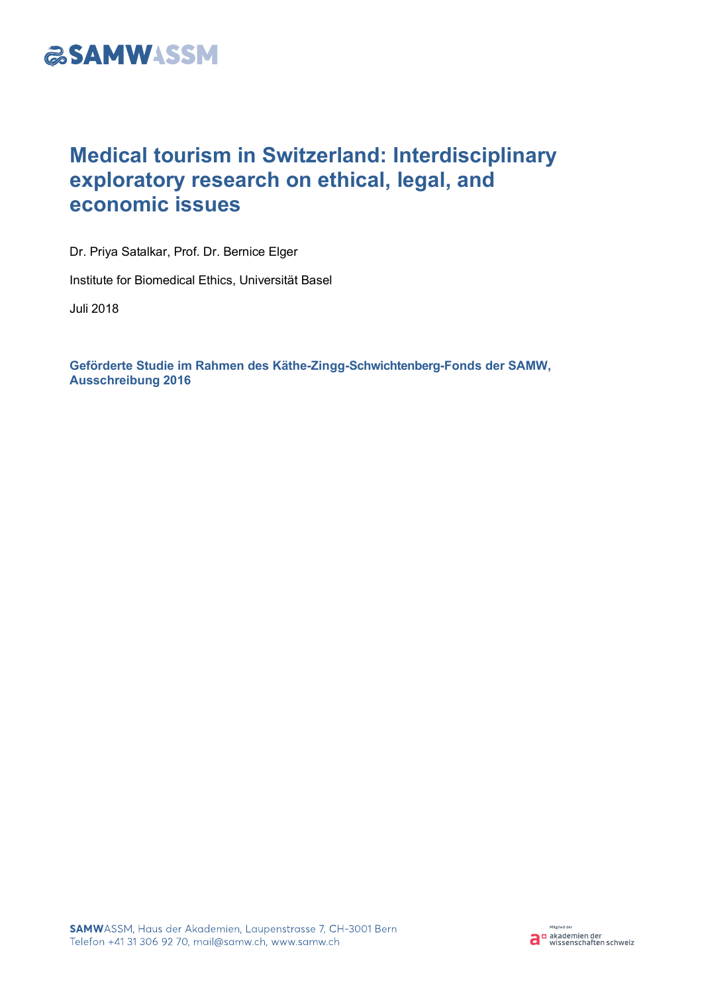

# **Medical tourism in Switzerland: Interdisciplinary exploratory research on ethical, legal, and economic issues**

Dr. Priya Satalkar, Prof. Dr. Bernice Elger

Institute for Biomedical Ethics, Universität Basel

Juli 2018

**Geförderte Studie im Rahmen des Käthe-Zingg-Schwichtenberg-Fonds der SAMW, Ausschreibung 2016**

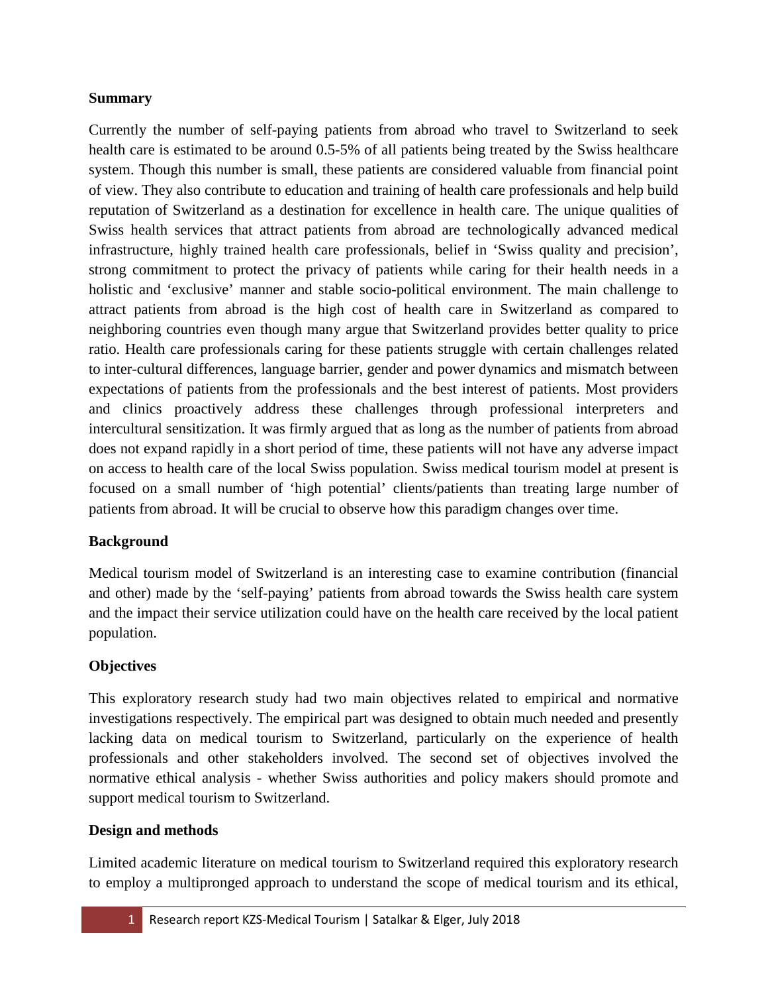## **Summary**

Currently the number of self-paying patients from abroad who travel to Switzerland to seek health care is estimated to be around 0.5-5% of all patients being treated by the Swiss healthcare system. Though this number is small, these patients are considered valuable from financial point of view. They also contribute to education and training of health care professionals and help build reputation of Switzerland as a destination for excellence in health care. The unique qualities of Swiss health services that attract patients from abroad are technologically advanced medical infrastructure, highly trained health care professionals, belief in 'Swiss quality and precision', strong commitment to protect the privacy of patients while caring for their health needs in a holistic and 'exclusive' manner and stable socio-political environment. The main challenge to attract patients from abroad is the high cost of health care in Switzerland as compared to neighboring countries even though many argue that Switzerland provides better quality to price ratio. Health care professionals caring for these patients struggle with certain challenges related to inter-cultural differences, language barrier, gender and power dynamics and mismatch between expectations of patients from the professionals and the best interest of patients. Most providers and clinics proactively address these challenges through professional interpreters and intercultural sensitization. It was firmly argued that as long as the number of patients from abroad does not expand rapidly in a short period of time, these patients will not have any adverse impact on access to health care of the local Swiss population. Swiss medical tourism model at present is focused on a small number of 'high potential' clients/patients than treating large number of patients from abroad. It will be crucial to observe how this paradigm changes over time.

# **Background**

Medical tourism model of Switzerland is an interesting case to examine contribution (financial and other) made by the 'self-paying' patients from abroad towards the Swiss health care system and the impact their service utilization could have on the health care received by the local patient population.

# **Objectives**

This exploratory research study had two main objectives related to empirical and normative investigations respectively. The empirical part was designed to obtain much needed and presently lacking data on medical tourism to Switzerland, particularly on the experience of health professionals and other stakeholders involved. The second set of objectives involved the normative ethical analysis - whether Swiss authorities and policy makers should promote and support medical tourism to Switzerland.

# **Design and methods**

Limited academic literature on medical tourism to Switzerland required this exploratory research to employ a multipronged approach to understand the scope of medical tourism and its ethical,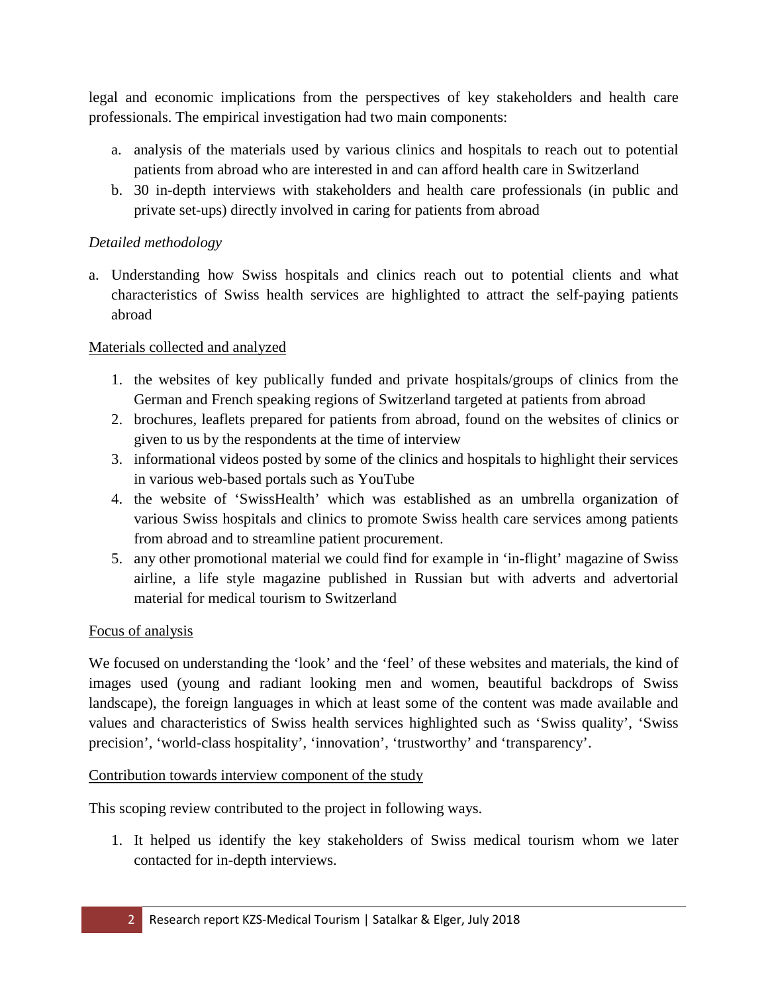legal and economic implications from the perspectives of key stakeholders and health care professionals. The empirical investigation had two main components:

- a. analysis of the materials used by various clinics and hospitals to reach out to potential patients from abroad who are interested in and can afford health care in Switzerland
- b. 30 in-depth interviews with stakeholders and health care professionals (in public and private set-ups) directly involved in caring for patients from abroad

# *Detailed methodology*

a. Understanding how Swiss hospitals and clinics reach out to potential clients and what characteristics of Swiss health services are highlighted to attract the self-paying patients abroad

## Materials collected and analyzed

- 1. the websites of key publically funded and private hospitals/groups of clinics from the German and French speaking regions of Switzerland targeted at patients from abroad
- 2. brochures, leaflets prepared for patients from abroad, found on the websites of clinics or given to us by the respondents at the time of interview
- 3. informational videos posted by some of the clinics and hospitals to highlight their services in various web-based portals such as YouTube
- 4. the website of 'SwissHealth' which was established as an umbrella organization of various Swiss hospitals and clinics to promote Swiss health care services among patients from abroad and to streamline patient procurement.
- 5. any other promotional material we could find for example in 'in-flight' magazine of Swiss airline, a life style magazine published in Russian but with adverts and advertorial material for medical tourism to Switzerland

# Focus of analysis

We focused on understanding the 'look' and the 'feel' of these websites and materials, the kind of images used (young and radiant looking men and women, beautiful backdrops of Swiss landscape), the foreign languages in which at least some of the content was made available and values and characteristics of Swiss health services highlighted such as 'Swiss quality', 'Swiss precision', 'world-class hospitality', 'innovation', 'trustworthy' and 'transparency'.

#### Contribution towards interview component of the study

This scoping review contributed to the project in following ways.

1. It helped us identify the key stakeholders of Swiss medical tourism whom we later contacted for in-depth interviews.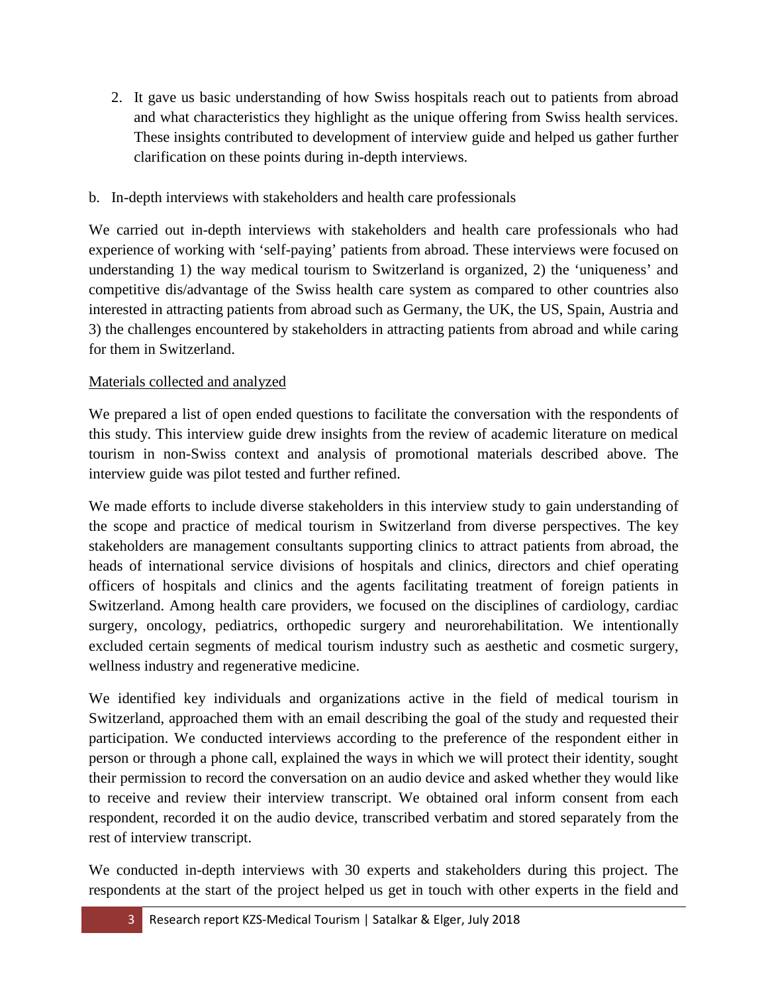- 2. It gave us basic understanding of how Swiss hospitals reach out to patients from abroad and what characteristics they highlight as the unique offering from Swiss health services. These insights contributed to development of interview guide and helped us gather further clarification on these points during in-depth interviews.
- b. In-depth interviews with stakeholders and health care professionals

We carried out in-depth interviews with stakeholders and health care professionals who had experience of working with 'self-paying' patients from abroad. These interviews were focused on understanding 1) the way medical tourism to Switzerland is organized, 2) the 'uniqueness' and competitive dis/advantage of the Swiss health care system as compared to other countries also interested in attracting patients from abroad such as Germany, the UK, the US, Spain, Austria and 3) the challenges encountered by stakeholders in attracting patients from abroad and while caring for them in Switzerland.

## Materials collected and analyzed

We prepared a list of open ended questions to facilitate the conversation with the respondents of this study. This interview guide drew insights from the review of academic literature on medical tourism in non-Swiss context and analysis of promotional materials described above. The interview guide was pilot tested and further refined.

We made efforts to include diverse stakeholders in this interview study to gain understanding of the scope and practice of medical tourism in Switzerland from diverse perspectives. The key stakeholders are management consultants supporting clinics to attract patients from abroad, the heads of international service divisions of hospitals and clinics, directors and chief operating officers of hospitals and clinics and the agents facilitating treatment of foreign patients in Switzerland. Among health care providers, we focused on the disciplines of cardiology, cardiac surgery, oncology, pediatrics, orthopedic surgery and neurorehabilitation. We intentionally excluded certain segments of medical tourism industry such as aesthetic and cosmetic surgery, wellness industry and regenerative medicine.

We identified key individuals and organizations active in the field of medical tourism in Switzerland, approached them with an email describing the goal of the study and requested their participation. We conducted interviews according to the preference of the respondent either in person or through a phone call, explained the ways in which we will protect their identity, sought their permission to record the conversation on an audio device and asked whether they would like to receive and review their interview transcript. We obtained oral inform consent from each respondent, recorded it on the audio device, transcribed verbatim and stored separately from the rest of interview transcript.

We conducted in-depth interviews with 30 experts and stakeholders during this project. The respondents at the start of the project helped us get in touch with other experts in the field and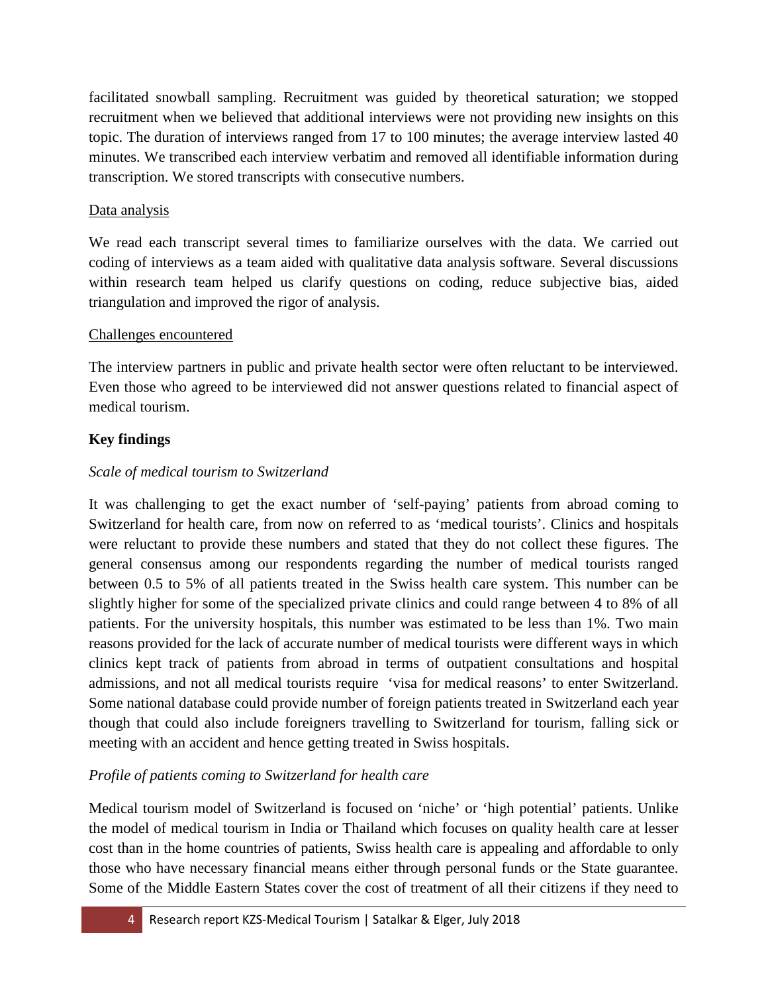facilitated snowball sampling. Recruitment was guided by theoretical saturation; we stopped recruitment when we believed that additional interviews were not providing new insights on this topic. The duration of interviews ranged from 17 to 100 minutes; the average interview lasted 40 minutes. We transcribed each interview verbatim and removed all identifiable information during transcription. We stored transcripts with consecutive numbers.

#### Data analysis

We read each transcript several times to familiarize ourselves with the data. We carried out coding of interviews as a team aided with qualitative data analysis software. Several discussions within research team helped us clarify questions on coding, reduce subjective bias, aided triangulation and improved the rigor of analysis.

#### Challenges encountered

The interview partners in public and private health sector were often reluctant to be interviewed. Even those who agreed to be interviewed did not answer questions related to financial aspect of medical tourism.

#### **Key findings**

#### *Scale of medical tourism to Switzerland*

It was challenging to get the exact number of 'self-paying' patients from abroad coming to Switzerland for health care, from now on referred to as 'medical tourists'. Clinics and hospitals were reluctant to provide these numbers and stated that they do not collect these figures. The general consensus among our respondents regarding the number of medical tourists ranged between 0.5 to 5% of all patients treated in the Swiss health care system. This number can be slightly higher for some of the specialized private clinics and could range between 4 to 8% of all patients. For the university hospitals, this number was estimated to be less than 1%. Two main reasons provided for the lack of accurate number of medical tourists were different ways in which clinics kept track of patients from abroad in terms of outpatient consultations and hospital admissions, and not all medical tourists require 'visa for medical reasons' to enter Switzerland. Some national database could provide number of foreign patients treated in Switzerland each year though that could also include foreigners travelling to Switzerland for tourism, falling sick or meeting with an accident and hence getting treated in Swiss hospitals.

#### *Profile of patients coming to Switzerland for health care*

Medical tourism model of Switzerland is focused on 'niche' or 'high potential' patients. Unlike the model of medical tourism in India or Thailand which focuses on quality health care at lesser cost than in the home countries of patients, Swiss health care is appealing and affordable to only those who have necessary financial means either through personal funds or the State guarantee. Some of the Middle Eastern States cover the cost of treatment of all their citizens if they need to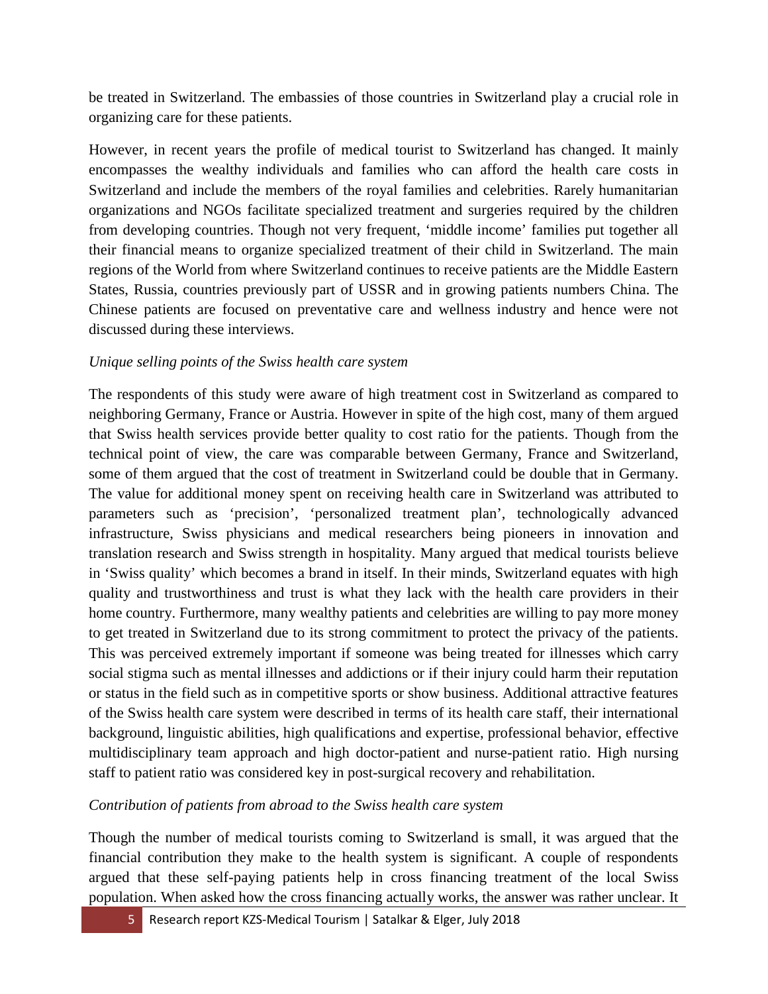be treated in Switzerland. The embassies of those countries in Switzerland play a crucial role in organizing care for these patients.

However, in recent years the profile of medical tourist to Switzerland has changed. It mainly encompasses the wealthy individuals and families who can afford the health care costs in Switzerland and include the members of the royal families and celebrities. Rarely humanitarian organizations and NGOs facilitate specialized treatment and surgeries required by the children from developing countries. Though not very frequent, 'middle income' families put together all their financial means to organize specialized treatment of their child in Switzerland. The main regions of the World from where Switzerland continues to receive patients are the Middle Eastern States, Russia, countries previously part of USSR and in growing patients numbers China. The Chinese patients are focused on preventative care and wellness industry and hence were not discussed during these interviews.

#### *Unique selling points of the Swiss health care system*

The respondents of this study were aware of high treatment cost in Switzerland as compared to neighboring Germany, France or Austria. However in spite of the high cost, many of them argued that Swiss health services provide better quality to cost ratio for the patients. Though from the technical point of view, the care was comparable between Germany, France and Switzerland, some of them argued that the cost of treatment in Switzerland could be double that in Germany. The value for additional money spent on receiving health care in Switzerland was attributed to parameters such as 'precision', 'personalized treatment plan', technologically advanced infrastructure, Swiss physicians and medical researchers being pioneers in innovation and translation research and Swiss strength in hospitality. Many argued that medical tourists believe in 'Swiss quality' which becomes a brand in itself. In their minds, Switzerland equates with high quality and trustworthiness and trust is what they lack with the health care providers in their home country. Furthermore, many wealthy patients and celebrities are willing to pay more money to get treated in Switzerland due to its strong commitment to protect the privacy of the patients. This was perceived extremely important if someone was being treated for illnesses which carry social stigma such as mental illnesses and addictions or if their injury could harm their reputation or status in the field such as in competitive sports or show business. Additional attractive features of the Swiss health care system were described in terms of its health care staff, their international background, linguistic abilities, high qualifications and expertise, professional behavior, effective multidisciplinary team approach and high doctor-patient and nurse-patient ratio. High nursing staff to patient ratio was considered key in post-surgical recovery and rehabilitation.

#### *Contribution of patients from abroad to the Swiss health care system*

Though the number of medical tourists coming to Switzerland is small, it was argued that the financial contribution they make to the health system is significant. A couple of respondents argued that these self-paying patients help in cross financing treatment of the local Swiss population. When asked how the cross financing actually works, the answer was rather unclear. It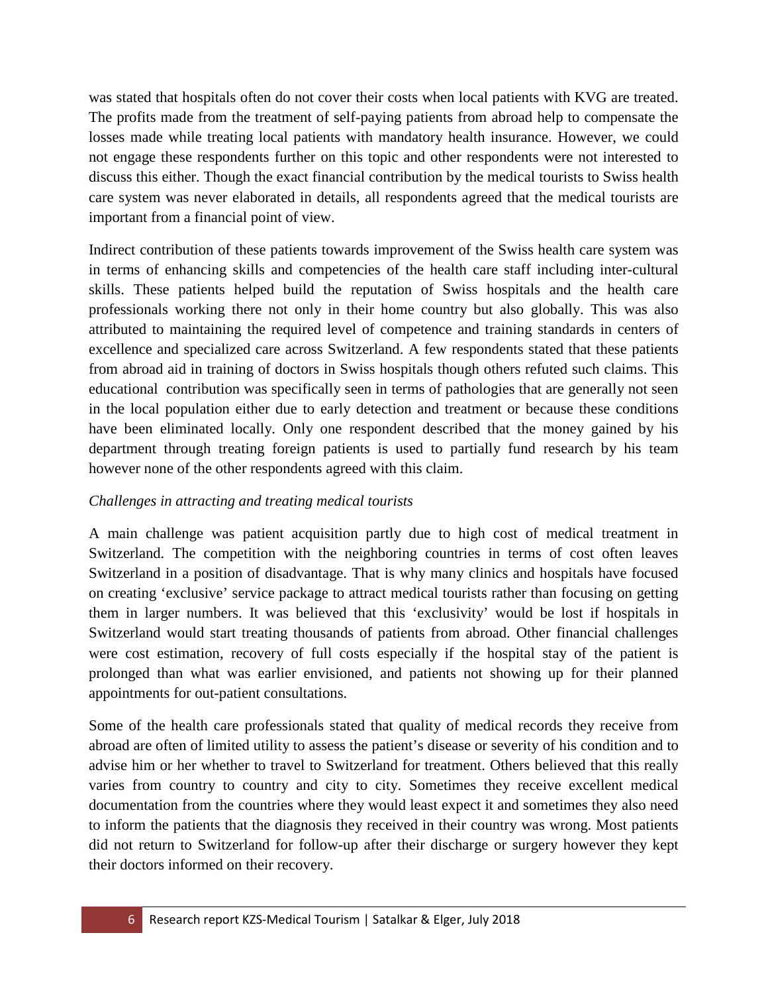was stated that hospitals often do not cover their costs when local patients with KVG are treated. The profits made from the treatment of self-paying patients from abroad help to compensate the losses made while treating local patients with mandatory health insurance. However, we could not engage these respondents further on this topic and other respondents were not interested to discuss this either. Though the exact financial contribution by the medical tourists to Swiss health care system was never elaborated in details, all respondents agreed that the medical tourists are important from a financial point of view.

Indirect contribution of these patients towards improvement of the Swiss health care system was in terms of enhancing skills and competencies of the health care staff including inter-cultural skills. These patients helped build the reputation of Swiss hospitals and the health care professionals working there not only in their home country but also globally. This was also attributed to maintaining the required level of competence and training standards in centers of excellence and specialized care across Switzerland. A few respondents stated that these patients from abroad aid in training of doctors in Swiss hospitals though others refuted such claims. This educational contribution was specifically seen in terms of pathologies that are generally not seen in the local population either due to early detection and treatment or because these conditions have been eliminated locally. Only one respondent described that the money gained by his department through treating foreign patients is used to partially fund research by his team however none of the other respondents agreed with this claim.

#### *Challenges in attracting and treating medical tourists*

A main challenge was patient acquisition partly due to high cost of medical treatment in Switzerland. The competition with the neighboring countries in terms of cost often leaves Switzerland in a position of disadvantage. That is why many clinics and hospitals have focused on creating 'exclusive' service package to attract medical tourists rather than focusing on getting them in larger numbers. It was believed that this 'exclusivity' would be lost if hospitals in Switzerland would start treating thousands of patients from abroad. Other financial challenges were cost estimation, recovery of full costs especially if the hospital stay of the patient is prolonged than what was earlier envisioned, and patients not showing up for their planned appointments for out-patient consultations.

Some of the health care professionals stated that quality of medical records they receive from abroad are often of limited utility to assess the patient's disease or severity of his condition and to advise him or her whether to travel to Switzerland for treatment. Others believed that this really varies from country to country and city to city. Sometimes they receive excellent medical documentation from the countries where they would least expect it and sometimes they also need to inform the patients that the diagnosis they received in their country was wrong. Most patients did not return to Switzerland for follow-up after their discharge or surgery however they kept their doctors informed on their recovery.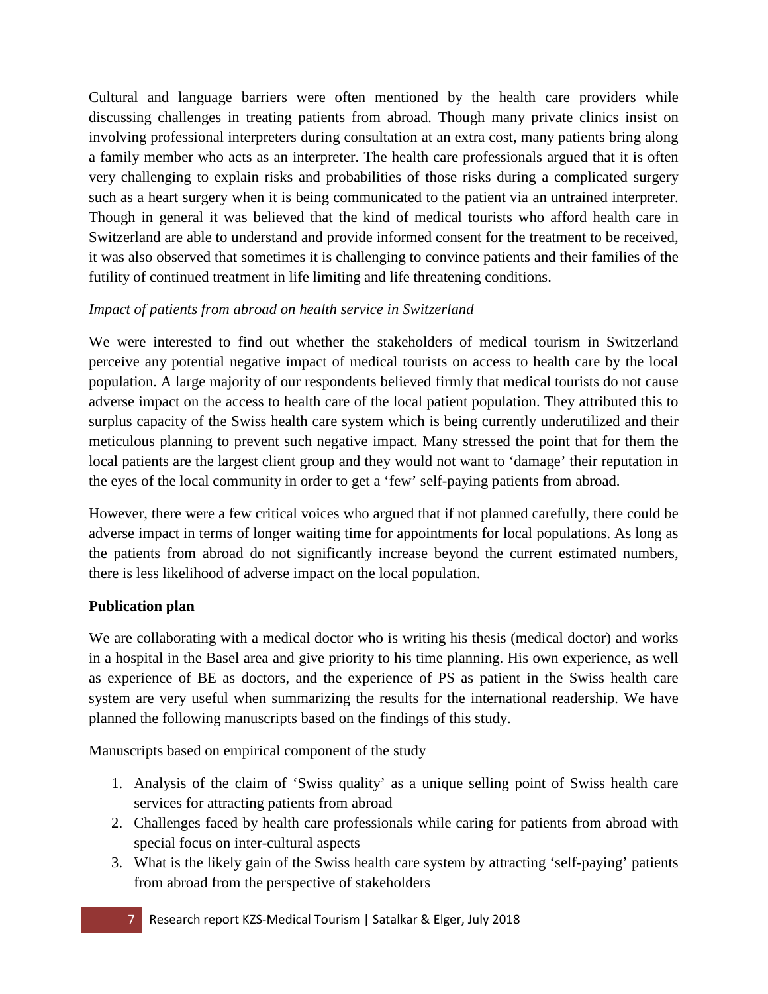Cultural and language barriers were often mentioned by the health care providers while discussing challenges in treating patients from abroad. Though many private clinics insist on involving professional interpreters during consultation at an extra cost, many patients bring along a family member who acts as an interpreter. The health care professionals argued that it is often very challenging to explain risks and probabilities of those risks during a complicated surgery such as a heart surgery when it is being communicated to the patient via an untrained interpreter. Though in general it was believed that the kind of medical tourists who afford health care in Switzerland are able to understand and provide informed consent for the treatment to be received, it was also observed that sometimes it is challenging to convince patients and their families of the futility of continued treatment in life limiting and life threatening conditions.

# *Impact of patients from abroad on health service in Switzerland*

We were interested to find out whether the stakeholders of medical tourism in Switzerland perceive any potential negative impact of medical tourists on access to health care by the local population. A large majority of our respondents believed firmly that medical tourists do not cause adverse impact on the access to health care of the local patient population. They attributed this to surplus capacity of the Swiss health care system which is being currently underutilized and their meticulous planning to prevent such negative impact. Many stressed the point that for them the local patients are the largest client group and they would not want to 'damage' their reputation in the eyes of the local community in order to get a 'few' self-paying patients from abroad.

However, there were a few critical voices who argued that if not planned carefully, there could be adverse impact in terms of longer waiting time for appointments for local populations. As long as the patients from abroad do not significantly increase beyond the current estimated numbers, there is less likelihood of adverse impact on the local population.

# **Publication plan**

We are collaborating with a medical doctor who is writing his thesis (medical doctor) and works in a hospital in the Basel area and give priority to his time planning. His own experience, as well as experience of BE as doctors, and the experience of PS as patient in the Swiss health care system are very useful when summarizing the results for the international readership. We have planned the following manuscripts based on the findings of this study.

Manuscripts based on empirical component of the study

- 1. Analysis of the claim of 'Swiss quality' as a unique selling point of Swiss health care services for attracting patients from abroad
- 2. Challenges faced by health care professionals while caring for patients from abroad with special focus on inter-cultural aspects
- 3. What is the likely gain of the Swiss health care system by attracting 'self-paying' patients from abroad from the perspective of stakeholders